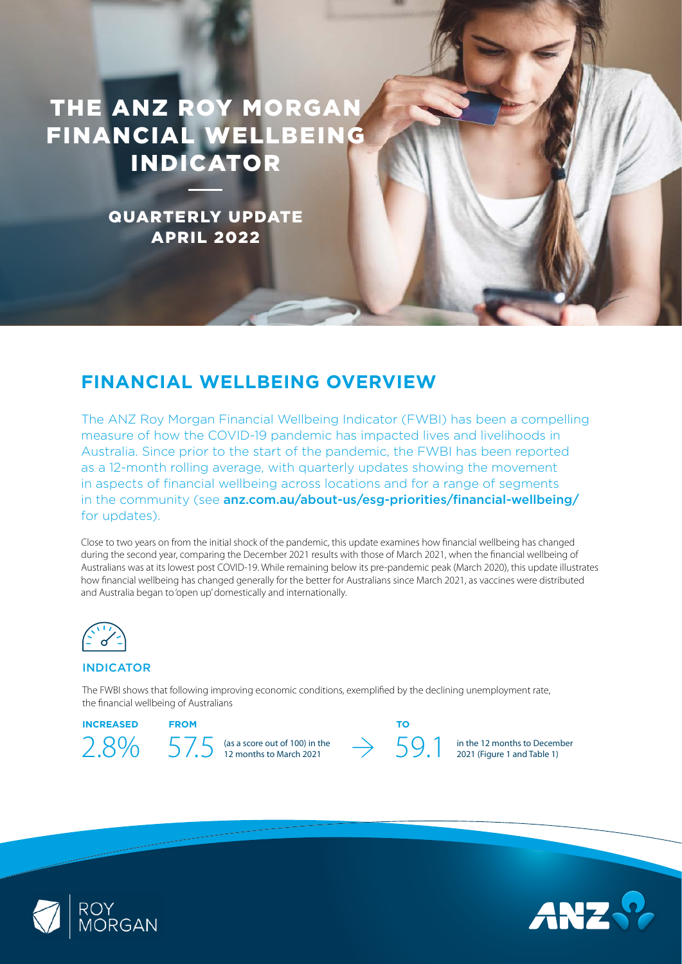# THE ANZ ROY MORGAN FINANCIAL WELLBEING INDICATOR

QUARTERLY UPDATE APRIL 2022

# **FINANCIAL WELLBEING OVERVIEW**

The ANZ Roy Morgan Financial Wellbeing Indicator (FWBI) has been a compelling measure of how the COVID-19 pandemic has impacted lives and livelihoods in Australia. Since prior to the start of the pandemic, the FWBI has been reported as a 12-month rolling average, with quarterly updates showing the movement in aspects of financial wellbeing across locations and for a range of segments in the community (see [anz.com.au/about-us/esg-priorities/financial-wellbeing/](https://www.anz.com.au/about-us/esg-priorities/financial-wellbeing/) for updates).

Close to two years on from the initial shock of the pandemic, this update examines how financial wellbeing has changed during the second year, comparing the December 2021 results with those of March 2021, when the financial wellbeing of Australians was at its lowest post COVID-19. While remaining below its pre-pandemic peak (March 2020), this update illustrates how financial wellbeing has changed generally for the better for Australians since March 2021, as vaccines were distributed and Australia began to 'open up' domestically and internationally.



# INDICATOR

The FWBI shows that following improving economic conditions, exemplified by the declining unemployment rate, the financial wellbeing of Australians

### **INCREASED FROM TO**



in the 12 months to December 2021 (Figure 1 and Table 1)



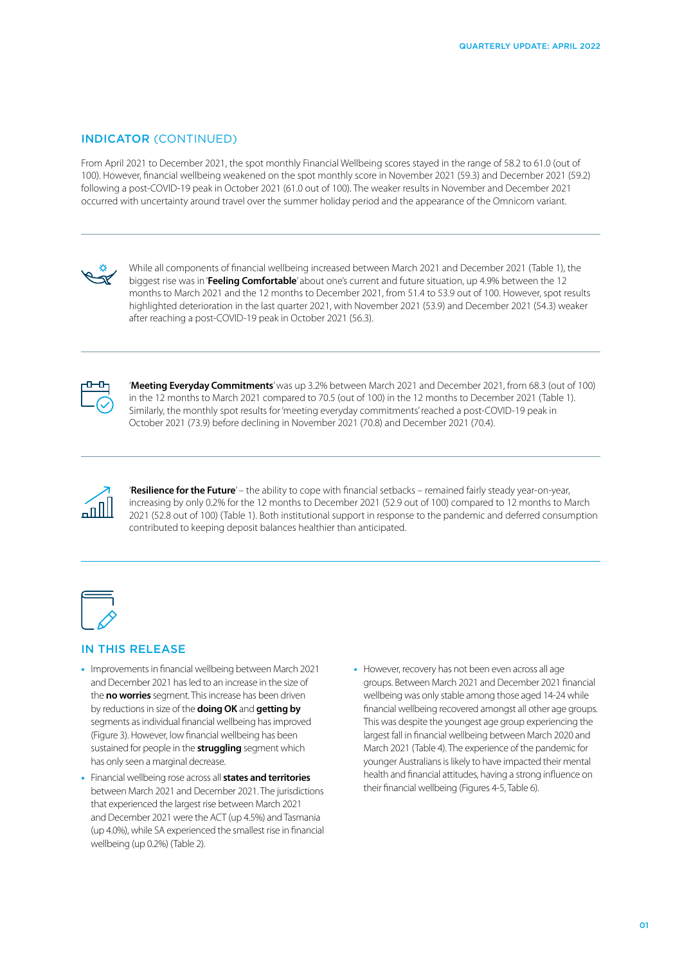### INDICATOR (CONTINUED)

From April 2021 to December 2021, the spot monthly Financial Wellbeing scores stayed in the range of 58.2 to 61.0 (out of 100). However, financial wellbeing weakened on the spot monthly score in November 2021 (59.3) and December 2021 (59.2) following a post-COVID-19 peak in October 2021 (61.0 out of 100). The weaker results in November and December 2021 occurred with uncertainty around travel over the summer holiday period and the appearance of the Omnicom variant.



While all components of financial wellbeing increased between March 2021 and December 2021 (Table 1), the biggest rise was in '**Feeling Comfortable**' about one's current and future situation, up 4.9% between the 12 months to March 2021 and the 12 months to December 2021, from 51.4 to 53.9 out of 100. However, spot results highlighted deterioration in the last quarter 2021, with November 2021 (53.9) and December 2021 (54.3) weaker after reaching a post-COVID-19 peak in October 2021 (56.3).



'**Meeting Everyday Commitments**' was up 3.2% between March 2021 and December 2021, from 68.3 (out of 100) in the 12 months to March 2021 compared to 70.5 (out of 100) in the 12 months to December 2021 (Table 1). Similarly, the monthly spot results for 'meeting everyday commitments' reached a post-COVID-19 peak in October 2021 (73.9) before declining in November 2021 (70.8) and December 2021 (70.4).



'**Resilience for the Future**' – the ability to cope with financial setbacks – remained fairly steady year-on-year, increasing by only 0.2% for the 12 months to December 2021 (52.9 out of 100) compared to 12 months to March 2021 (52.8 out of 100) (Table 1). Both institutional support in response to the pandemic and deferred consumption contributed to keeping deposit balances healthier than anticipated.



## IN THIS RELEASE

- **•** Improvements in financial wellbeing between March 2021 and December 2021 has led to an increase in the size of the **no worries** segment. This increase has been driven by reductions in size of the **doing OK** and **getting by**  segments as individual financial wellbeing has improved (Figure 3). However, low financial wellbeing has been sustained for people in the **struggling** segment which has only seen a marginal decrease.
- **•** Financial wellbeing rose across all **states and territories** between March 2021 and December 2021. The jurisdictions that experienced the largest rise between March 2021 and December 2021 were the ACT (up 4.5%) and Tasmania (up 4.0%), while SA experienced the smallest rise in financial wellbeing (up 0.2%) (Table 2).
- **•** However, recovery has not been even across all age groups. Between March 2021 and December 2021 financial wellbeing was only stable among those aged 14-24 while financial wellbeing recovered amongst all other age groups. This was despite the youngest age group experiencing the largest fall in financial wellbeing between March 2020 and March 2021 (Table 4). The experience of the pandemic for younger Australians is likely to have impacted their mental health and financial attitudes, having a strong influence on their financial wellbeing (Figures 4-5, Table 6).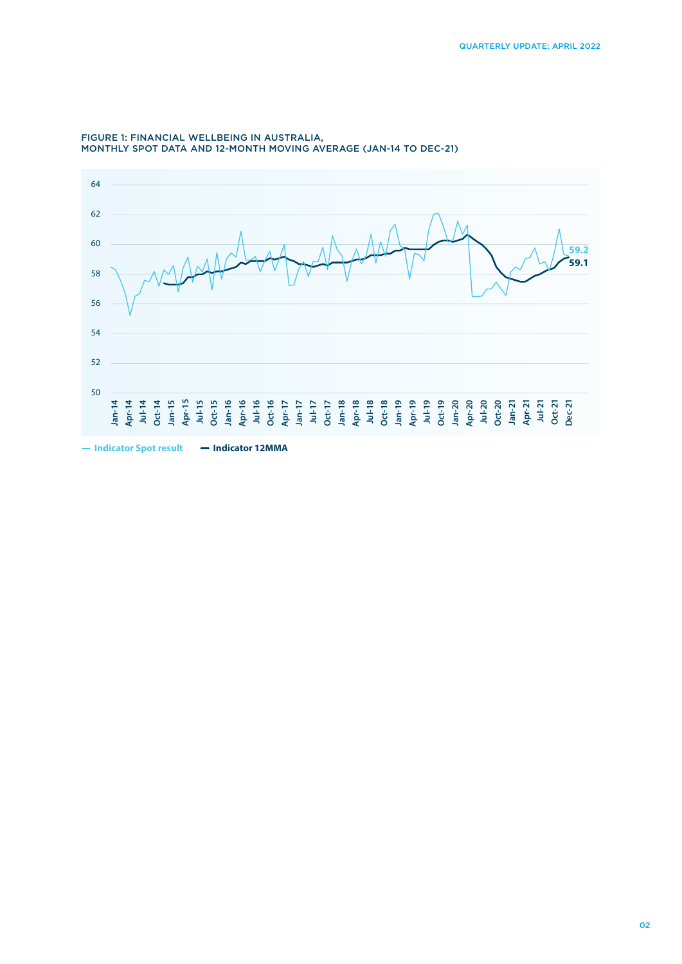

#### FIGURE 1: FINANCIAL WELLBEING IN AUSTRALIA, MONTHLY SPOT DATA AND 12-MONTH MOVING AVERAGE (JAN-14 TO DEC-21)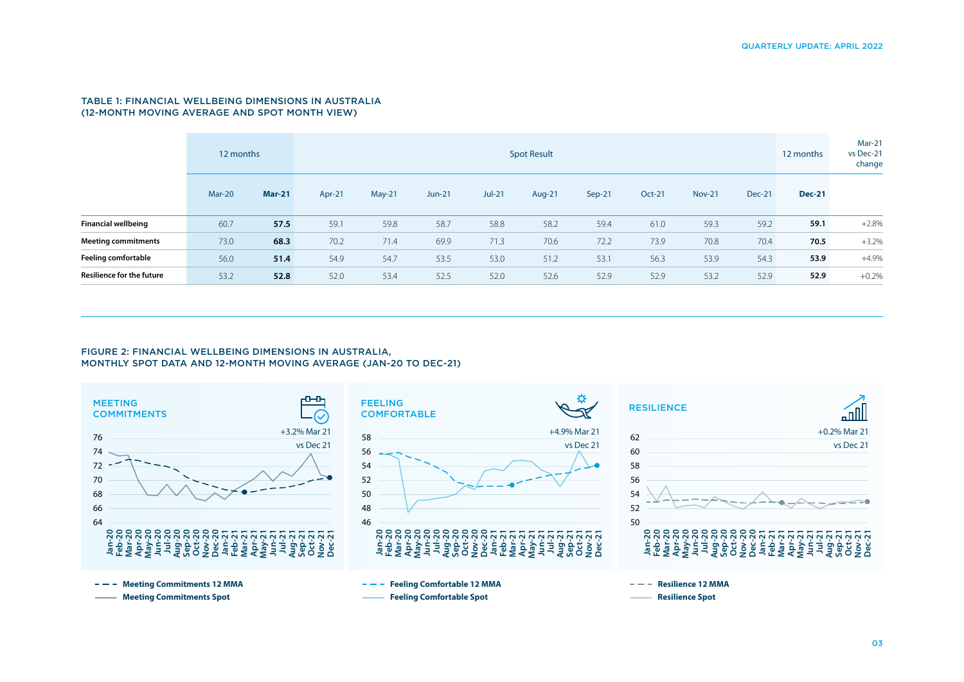#### TABLE 1: FINANCIAL WELLBEING DIMENSIONS IN AUSTRALIA (12-MONTH MOVING AVERAGE AND SPOT MONTH VIEW)

|                                  | 12 months |               | <b>Spot Result</b> |        |          |          |        |        |        |               | 12 months     | <b>Mar-21</b><br>vs Dec-21<br>change |         |
|----------------------------------|-----------|---------------|--------------------|--------|----------|----------|--------|--------|--------|---------------|---------------|--------------------------------------|---------|
|                                  | Mar-20    | <b>Mar-21</b> | Apr-21             | May-21 | $Jun-21$ | $Jul-21$ | Aug-21 | Sep-21 | Oct-21 | <b>Nov-21</b> | <b>Dec-21</b> | <b>Dec-21</b>                        |         |
| <b>Financial wellbeing</b>       | 60.7      | 57.5          | 59.1               | 59.8   | 58.7     | 58.8     | 58.2   | 59.4   | 61.0   | 59.3          | 59.2          | 59.1                                 | $+2.8%$ |
| <b>Meeting commitments</b>       | 73.0      | 68.3          | 70.2               | 71.4   | 69.9     | 71.3     | 70.6   | 72.2   | 73.9   | 70.8          | 70.4          | 70.5                                 | $+3.2%$ |
| <b>Feeling comfortable</b>       | 56.0      | 51.4          | 54.9               | 54.7   | 53.5     | 53.0     | 51.2   | 53.1   | 56.3   | 53.9          | 54.3          | 53.9                                 | $+4.9%$ |
| <b>Resilience for the future</b> | 53.2      | 52.8          | 52.0               | 53.4   | 52.5     | 52.0     | 52.6   | 52.9   | 52.9   | 53.2          | 52.9          | 52.9                                 | $+0.2%$ |

#### FIGURE 2: FINANCIAL WELLBEING DIMENSIONS IN AUSTRALIA, MONTHLY SPOT DATA AND 12-MONTH MOVING AVERAGE (JAN-20 TO DEC-21)

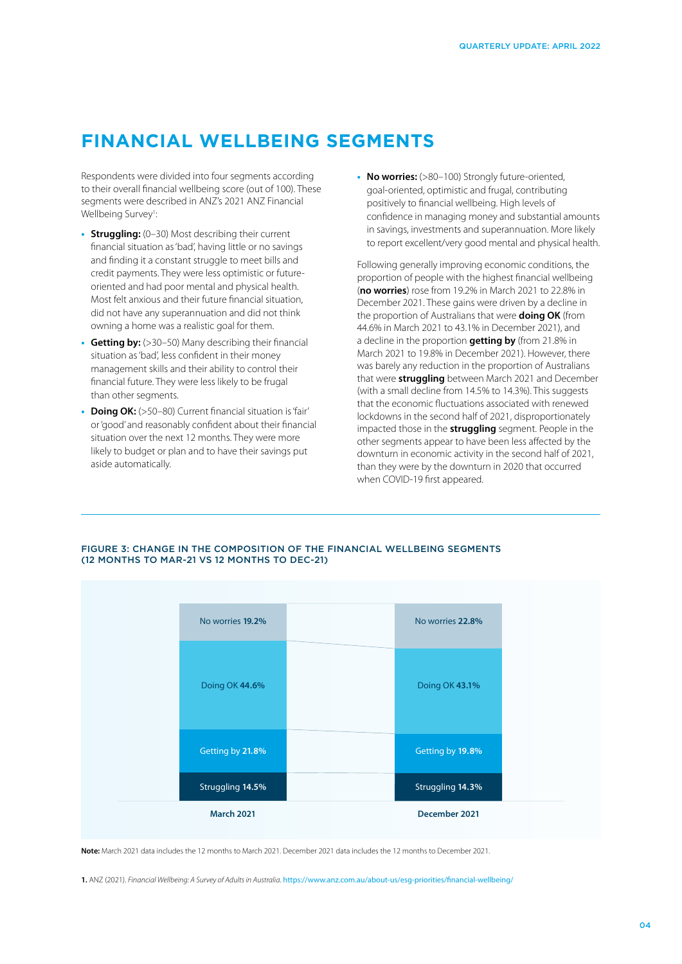# **FINANCIAL WELLBEING SEGMENTS**

Respondents were divided into four segments according to their overall financial wellbeing score (out of 100). These segments were described in ANZ's 2021 ANZ Financial Wellbeing Survey<sup>1</sup>: :

- **• Struggling:** (0–30) Most describing their current financial situation as 'bad', having little or no savings and finding it a constant struggle to meet bills and credit payments. They were less optimistic or futureoriented and had poor mental and physical health. Most felt anxious and their future financial situation, did not have any superannuation and did not think owning a home was a realistic goal for them.
- **• Getting by:** (>30–50) Many describing their financial situation as 'bad', less confident in their money management skills and their ability to control their financial future. They were less likely to be frugal than other segments.
- **• Doing OK:** (>50–80) Current financial situation is 'fair' or 'good' and reasonably confident about their financial situation over the next 12 months. They were more likely to budget or plan and to have their savings put aside automatically.

**• No worries:** (>80–100) Strongly future-oriented, goal-oriented, optimistic and frugal, contributing positively to financial wellbeing. High levels of confidence in managing money and substantial amounts in savings, investments and superannuation. More likely to report excellent/very good mental and physical health.

Following generally improving economic conditions, the proportion of people with the highest financial wellbeing (**no worries**) rose from 19.2% in March 2021 to 22.8% in December 2021. These gains were driven by a decline in the proportion of Australians that were **doing OK** (from 44.6% in March 2021 to 43.1% in December 2021), and a decline in the proportion **getting by** (from 21.8% in March 2021 to 19.8% in December 2021). However, there was barely any reduction in the proportion of Australians that were **struggling** between March 2021 and December (with a small decline from 14.5% to 14.3%). This suggests that the economic fluctuations associated with renewed lockdowns in the second half of 2021, disproportionately impacted those in the **struggling** segment. People in the other segments appear to have been less affected by the downturn in economic activity in the second half of 2021, than they were by the downturn in 2020 that occurred when COVID-19 first appeared.

# **March 2021 December 2021** Struggling **14.5%** Getting by **21.8%** Doing OK **44.6%** No worries **19.2%** Struggling **14.3%** Getting by **19.8%** Doing OK **43.1%** No worries **22.8%**

### FIGURE 3: CHANGE IN THE COMPOSITION OF THE FINANCIAL WELLBEING SEGMENTS (12 MONTHS TO MAR-21 VS 12 MONTHS TO DEC-21)

**Note:** March 2021 data includes the 12 months to March 2021. December 2021 data includes the 12 months to December 2021.

**1.** ANZ (2021). *Financial Wellbeing: A Survey of Adults in Australia*. <https://www.anz.com.au/about-us/esg-priorities/financial-wellbeing/>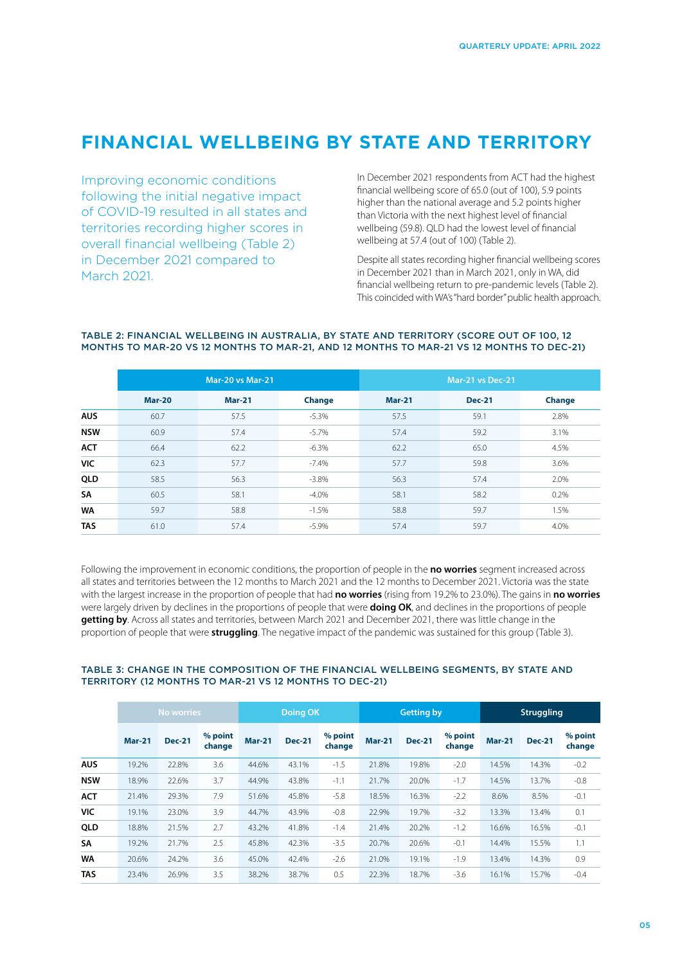# **FINANCIAL WELLBEING BY STATE AND TERRITORY**

Improving economic conditions following the initial negative impact of COVID-19 resulted in all states and territories recording higher scores in overall financial wellbeing (Table 2) in December 2021 compared to March 2021.

In December 2021 respondents from ACT had the highest financial wellbeing score of 65.0 (out of 100), 5.9 points higher than the national average and 5.2 points higher than Victoria with the next highest level of financial wellbeing (59.8). QLD had the lowest level of financial wellbeing at 57.4 (out of 100) (Table 2).

Despite all states recording higher financial wellbeing scores in December 2021 than in March 2021, only in WA, did financial wellbeing return to pre-pandemic levels (Table 2). This coincided with WA's "hard border" public health approach.

|            |               | <b>Mar-20 vs Mar-21</b> |          | Mar-21 vs Dec-21 |               |        |  |  |
|------------|---------------|-------------------------|----------|------------------|---------------|--------|--|--|
|            | <b>Mar-20</b> | <b>Mar-21</b>           | Change   | <b>Mar-21</b>    | <b>Dec-21</b> | Change |  |  |
| <b>AUS</b> | 60.7          | 57.5                    | $-5.3%$  | 57.5             | 59.1          | 2.8%   |  |  |
| <b>NSW</b> | 60.9          | 57.4                    | $-5.7%$  | 57.4             | 59.2          | 3.1%   |  |  |
| <b>ACT</b> | 66.4          | 62.2                    | $-6.3%$  | 62.2             | 65.0          | 4.5%   |  |  |
| VIC        | 62.3          | 57.7                    | $-7.4%$  | 57.7             | 59.8          | 3.6%   |  |  |
| QLD        | 58.5          | 56.3                    | $-3.8\%$ | 56.3             | 57.4          | 2.0%   |  |  |
| <b>SA</b>  | 60.5          | 58.1                    | $-4.0\%$ | 58.1             | 58.2          | 0.2%   |  |  |
| <b>WA</b>  | 59.7          | 58.8                    | $-1.5%$  | 58.8             | 59.7          | 1.5%   |  |  |
| <b>TAS</b> | 61.0          | 57.4                    | $-5.9\%$ | 57.4             | 59.7          | 4.0%   |  |  |

#### TABLE 2: FINANCIAL WELLBEING IN AUSTRALIA, BY STATE AND TERRITORY (SCORE OUT OF 100, 12 MONTHS TO MAR-20 VS 12 MONTHS TO MAR-21, AND 12 MONTHS TO MAR-21 VS 12 MONTHS TO DEC-21)

Following the improvement in economic conditions, the proportion of people in the **no worries** segment increased across all states and territories between the 12 months to March 2021 and the 12 months to December 2021. Victoria was the state with the largest increase in the proportion of people that had **no worries** (rising from 19.2% to 23.0%). The gains in **no worries**  were largely driven by declines in the proportions of people that were **doing OK**, and declines in the proportions of people **getting by**. Across all states and territories, between March 2021 and December 2021, there was little change in the proportion of people that were **struggling**. The negative impact of the pandemic was sustained for this group (Table 3).

### TABLE 3: CHANGE IN THE COMPOSITION OF THE FINANCIAL WELLBEING SEGMENTS, BY STATE AND TERRITORY (12 MONTHS TO MAR-21 VS 12 MONTHS TO DEC-21)

|            | <b>No worries</b> |               |                   | <b>Doing OK</b> |               |                   | <b>Getting by</b> |               |                   | <b>Struggling</b> |               |                   |
|------------|-------------------|---------------|-------------------|-----------------|---------------|-------------------|-------------------|---------------|-------------------|-------------------|---------------|-------------------|
|            | $Mar-21$          | <b>Dec-21</b> | % point<br>change | $Mar-21$        | <b>Dec-21</b> | % point<br>change | <b>Mar-21</b>     | <b>Dec-21</b> | % point<br>change | <b>Mar-21</b>     | <b>Dec-21</b> | % point<br>change |
| <b>AUS</b> | 19.2%             | 22.8%         | 3.6               | 44.6%           | 43.1%         | $-1.5$            | 21.8%             | 19.8%         | $-2.0$            | 14.5%             | 14.3%         | $-0.2$            |
| <b>NSW</b> | 18.9%             | 22.6%         | 3.7               | 44.9%           | 43.8%         | $-1.1$            | 21.7%             | 20.0%         | $-1.7$            | 14.5%             | 13.7%         | $-0.8$            |
| <b>ACT</b> | 21.4%             | 29.3%         | 7.9               | 51.6%           | 45.8%         | $-5.8$            | 18.5%             | 16.3%         | $-2.2$            | 8.6%              | 8.5%          | $-0.1$            |
| VIC        | 19.1%             | 23.0%         | 3.9               | 44.7%           | 43.9%         | $-0.8$            | 22.9%             | 19.7%         | $-3.2$            | 13.3%             | 13.4%         | 0.1               |
| QLD        | 18.8%             | 21.5%         | 2.7               | 43.2%           | 41.8%         | $-1.4$            | 21.4%             | 20.2%         | $-1.2$            | 16.6%             | 16.5%         | $-0.1$            |
| SA         | 19.2%             | 21.7%         | 2.5               | 45.8%           | 42.3%         | $-3.5$            | 20.7%             | 20.6%         | $-0.1$            | 14.4%             | 15.5%         | 1.1               |
| <b>WA</b>  | 20.6%             | 24.2%         | 3.6               | 45.0%           | 42.4%         | $-2.6$            | 21.0%             | 19.1%         | $-1.9$            | 13.4%             | 14.3%         | 0.9               |
| <b>TAS</b> | 23.4%             | 26.9%         | 3.5               | 38.2%           | 38.7%         | 0.5               | 22.3%             | 18.7%         | $-3.6$            | 16.1%             | 15.7%         | $-0.4$            |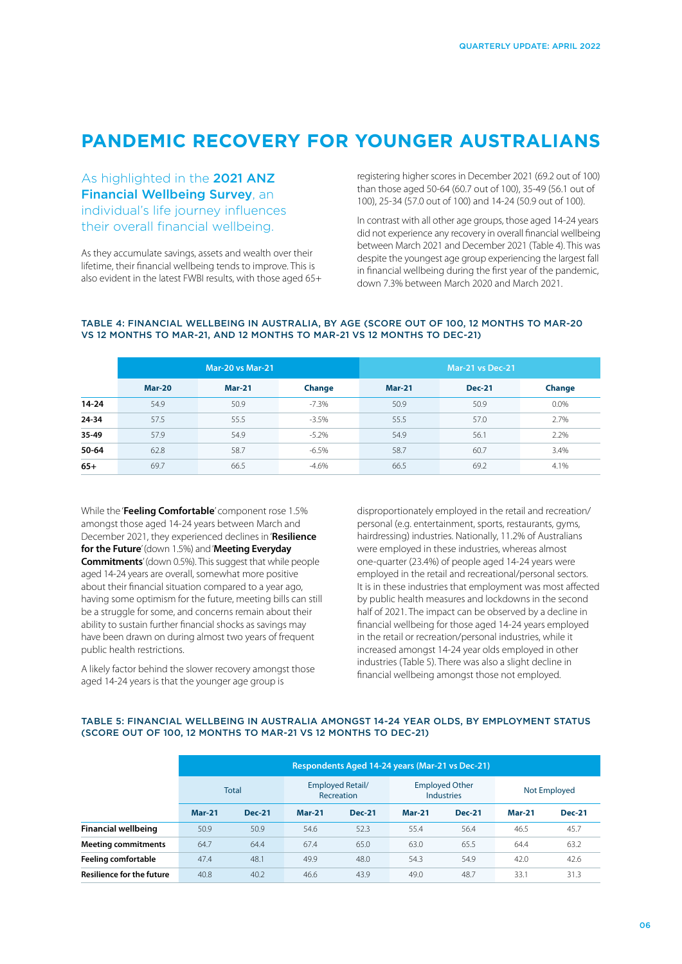# **PANDEMIC RECOVERY FOR YOUNGER AUSTRALIANS**

As highlighted in the [2021 ANZ](https://www.anz.com.au/about-us/esg-priorities/financial-wellbeing/)  [Financial Wellbeing Survey](https://www.anz.com.au/about-us/esg-priorities/financial-wellbeing/), an individual's life journey influences their overall financial wellbeing.

As they accumulate savings, assets and wealth over their lifetime, their financial wellbeing tends to improve. This is also evident in the latest FWBI results, with those aged 65+ registering higher scores in December 2021 (69.2 out of 100) than those aged 50-64 (60.7 out of 100), 35-49 (56.1 out of 100), 25-34 (57.0 out of 100) and 14-24 (50.9 out of 100).

In contrast with all other age groups, those aged 14-24 years did not experience any recovery in overall financial wellbeing between March 2021 and December 2021 (Table 4). This was despite the youngest age group experiencing the largest fall in financial wellbeing during the first year of the pandemic, down 7.3% between March 2020 and March 2021.

#### TABLE 4: FINANCIAL WELLBEING IN AUSTRALIA, BY AGE (SCORE OUT OF 100, 12 MONTHS TO MAR-20 VS 12 MONTHS TO MAR-21, AND 12 MONTHS TO MAR-21 VS 12 MONTHS TO DEC-21)

|           |               | <b>Mar-20 vs Mar-21</b> |         | Mar-21 vs Dec-21 |               |        |  |
|-----------|---------------|-------------------------|---------|------------------|---------------|--------|--|
|           | <b>Mar-20</b> | <b>Mar-21</b>           | Change  | <b>Mar-21</b>    | <b>Dec-21</b> | Change |  |
| $14 - 24$ | 54.9          | 50.9                    | $-7.3%$ | 50.9             | 50.9          | 0.0%   |  |
| 24-34     | 57.5          | 55.5                    | $-3.5%$ | 55.5             | 57.0          | 2.7%   |  |
| 35-49     | 57.9          | 54.9                    | $-5.2%$ | 54.9             | 56.1          | 2.2%   |  |
| 50-64     | 62.8          | 58.7                    | $-6.5%$ | 58.7             | 60.7          | 3.4%   |  |
| $65+$     | 69.7          | 66.5                    | $-4.6%$ | 66.5             | 69.2          | 4.1%   |  |

While the '**Feeling Comfortable**' component rose 1.5% amongst those aged 14-24 years between March and December 2021, they experienced declines in '**Resilience for the Future**' (down 1.5%) and '**Meeting Everyday Commitments**' (down 0.5%). This suggest that while people aged 14-24 years are overall, somewhat more positive about their financial situation compared to a year ago, having some optimism for the future, meeting bills can still be a struggle for some, and concerns remain about their ability to sustain further financial shocks as savings may have been drawn on during almost two years of frequent public health restrictions.

A likely factor behind the slower recovery amongst those aged 14-24 years is that the younger age group is

disproportionately employed in the retail and recreation/ personal (e.g. entertainment, sports, restaurants, gyms, hairdressing) industries. Nationally, 11.2% of Australians were employed in these industries, whereas almost one-quarter (23.4%) of people aged 14-24 years were employed in the retail and recreational/personal sectors. It is in these industries that employment was most affected by public health measures and lockdowns in the second half of 2021. The impact can be observed by a decline in financial wellbeing for those aged 14-24 years employed in the retail or recreation/personal industries, while it increased amongst 14-24 year olds employed in other industries (Table 5). There was also a slight decline in financial wellbeing amongst those not employed.

### TABLE 5: FINANCIAL WELLBEING IN AUSTRALIA AMONGST 14-24 YEAR OLDS, BY EMPLOYMENT STATUS (SCORE OUT OF 100, 12 MONTHS TO MAR-21 VS 12 MONTHS TO DEC-21)

|                                  |              | Respondents Aged 14-24 years (Mar-21 vs Dec-21) |                                       |               |                                            |               |               |               |  |
|----------------------------------|--------------|-------------------------------------------------|---------------------------------------|---------------|--------------------------------------------|---------------|---------------|---------------|--|
|                                  | <b>Total</b> |                                                 | <b>Employed Retail/</b><br>Recreation |               | <b>Employed Other</b><br><b>Industries</b> |               | Not Employed  |               |  |
|                                  | $Mar-21$     | <b>Dec-21</b>                                   | $Mar-21$                              | <b>Dec-21</b> | <b>Mar-21</b>                              | <b>Dec-21</b> | <b>Mar-21</b> | <b>Dec-21</b> |  |
| <b>Financial wellbeing</b>       | 50.9         | 50.9                                            | 54.6                                  | 52.3          | 55.4                                       | 56.4          | 46.5          | 45.7          |  |
| <b>Meeting commitments</b>       | 64.7         | 64.4                                            | 67.4                                  | 65.0          | 63.0                                       | 65.5          | 64.4          | 63.2          |  |
| <b>Feeling comfortable</b>       | 47.4         | 48.1                                            | 49.9                                  | 48.0          | 54.3                                       | 54.9          | 42.0          | 42.6          |  |
| <b>Resilience for the future</b> | 40.8         | 40.2                                            | 46.6                                  | 43.9          | 49.0                                       | 48.7          | 33.1          | 31.3          |  |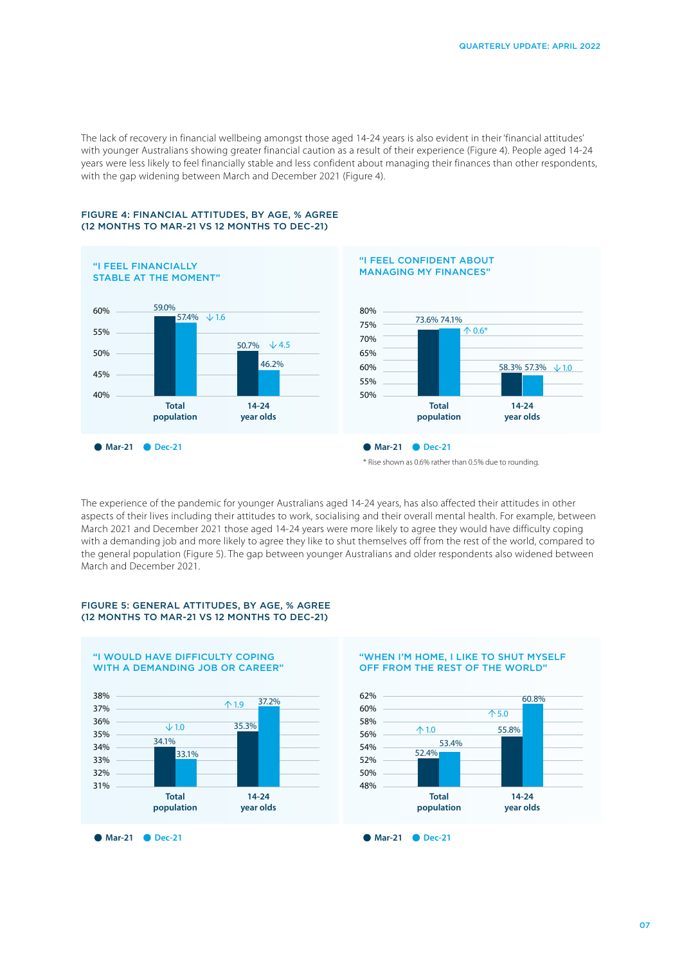The lack of recovery in financial wellbeing amongst those aged 14-24 years is also evident in their 'financial attitudes' with younger Australians showing greater financial caution as a result of their experience (Figure 4). People aged 14-24 years were less likely to feel financially stable and less confident about managing their finances than other respondents, with the gap widening between March and December 2021 (Figure 4).



#### FIGURE 4: FINANCIAL ATTITUDES, BY AGE, % AGREE (12 MONTHS TO MAR-21 VS 12 MONTHS TO DEC-21)



<sup>\*</sup> Rise shown as 0.6% rather than 0.5% due to rounding.

The experience of the pandemic for younger Australians aged 14-24 years, has also affected their attitudes in other aspects of their lives including their attitudes to work, socialising and their overall mental health. For example, between March 2021 and December 2021 those aged 14-24 years were more likely to agree they would have difficulty coping with a demanding job and more likely to agree they like to shut themselves off from the rest of the world, compared to the general population (Figure 5). The gap between younger Australians and older respondents also widened between March and December 2021.

#### FIGURE 5: GENERAL ATTITUDES, BY AGE, % AGREE (12 MONTHS TO MAR-21 VS 12 MONTHS TO DEC-21)



#### "WHEN I'M HOME, I LIKE TO SHUT MYSELF OFF FROM THE REST OF THE WORLD"

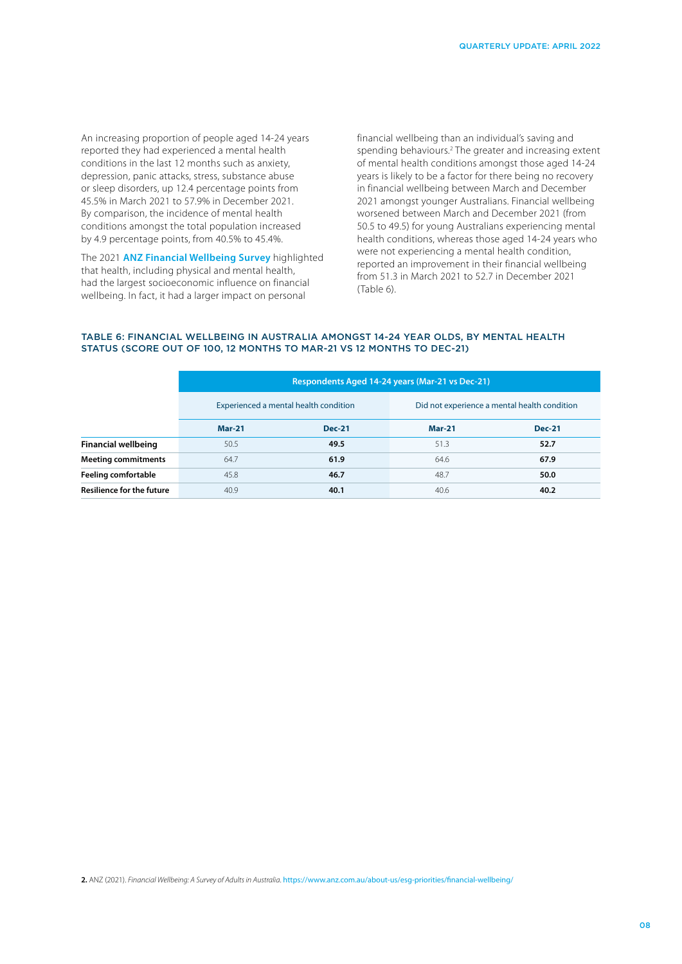An increasing proportion of people aged 14-24 years reported they had experienced a mental health conditions in the last 12 months such as anxiety, depression, panic attacks, stress, substance abuse or sleep disorders, up 12.4 percentage points from 45.5% in March 2021 to 57.9% in December 2021. By comparison, the incidence of mental health conditions amongst the total population increased by 4.9 percentage points, from 40.5% to 45.4%.

The 2021 **[ANZ Financial Wellbeing Survey](https://www.anz.com.au/about-us/esg-priorities/financial-wellbeing/)** highlighted that health, including physical and mental health, had the largest socioeconomic influence on financial wellbeing. In fact, it had a larger impact on personal

financial wellbeing than an individual's saving and spending behaviours.<sup>2</sup> The greater and increasing extent of mental health conditions amongst those aged 14-24 years is likely to be a factor for there being no recovery in financial wellbeing between March and December 2021 amongst younger Australians. Financial wellbeing worsened between March and December 2021 (from 50.5 to 49.5) for young Australians experiencing mental health conditions, whereas those aged 14-24 years who were not experiencing a mental health condition, reported an improvement in their financial wellbeing from 51.3 in March 2021 to 52.7 in December 2021 (Table 6).

#### TABLE 6: FINANCIAL WELLBEING IN AUSTRALIA AMONGST 14-24 YEAR OLDS, BY MENTAL HEALTH STATUS (SCORE OUT OF 100, 12 MONTHS TO MAR-21 VS 12 MONTHS TO DEC-21)

|                                  | Respondents Aged 14-24 years (Mar-21 vs Dec-21) |                                       |               |                                              |  |  |  |  |
|----------------------------------|-------------------------------------------------|---------------------------------------|---------------|----------------------------------------------|--|--|--|--|
|                                  |                                                 | Experienced a mental health condition |               | Did not experience a mental health condition |  |  |  |  |
|                                  | <b>Mar-21</b>                                   | <b>Dec-21</b>                         | <b>Mar-21</b> | <b>Dec-21</b>                                |  |  |  |  |
| <b>Financial wellbeing</b>       | 50.5                                            | 49.5                                  | 51.3          | 52.7                                         |  |  |  |  |
| <b>Meeting commitments</b>       | 64.7                                            | 61.9                                  | 64.6          | 67.9                                         |  |  |  |  |
| <b>Feeling comfortable</b>       | 45.8                                            | 46.7                                  | 48.7          | 50.0                                         |  |  |  |  |
| <b>Resilience for the future</b> | 40.9                                            | 40.1                                  | 40.6          | 40.2                                         |  |  |  |  |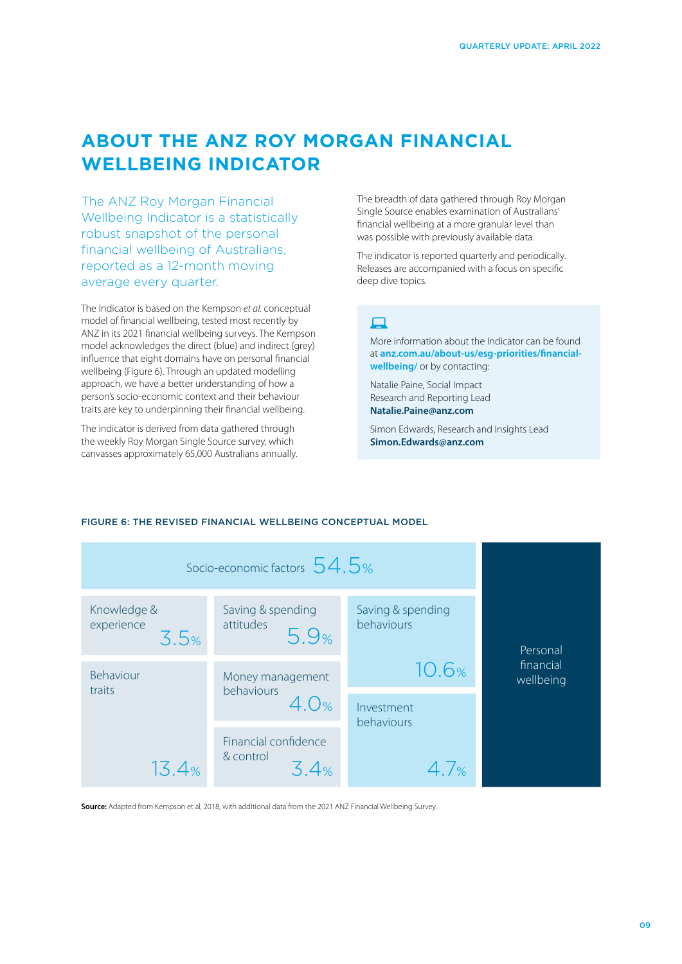# **ABOUT THE ANZ ROY MORGAN FINANCIAL WELLBEING INDICATOR**

The ANZ Roy Morgan Financial Wellbeing Indicator is a statistically robust snapshot of the personal financial wellbeing of Australians, reported as a 12-month moving average every quarter.

The Indicator is based on the Kempson *et al.* conceptual model of financial wellbeing, tested most recently by ANZ in its 2021 financial wellbeing surveys. The Kempson model acknowledges the direct (blue) and indirect (grey) influence that eight domains have on personal financial wellbeing (Figure 6). Through an updated modelling approach, we have a better understanding of how a person's socio-economic context and their behaviour traits are key to underpinning their financial wellbeing.

The indicator is derived from data gathered through the weekly Roy Morgan Single Source survey, which canvasses approximately 65,000 Australians annually. The breadth of data gathered through Roy Morgan Single Source enables examination of Australians' financial wellbeing at a more granular level than was possible with previously available data.

The indicator is reported quarterly and periodically. Releases are accompanied with a focus on specific deep dive topics.

## $\Box$

More information about the Indicator can be found at **[anz.com.au/about-us/esg-priorities/financial](https://www.anz.com.au/about-us/esg-priorities/financial-wellbeing/)[wellbeing/](https://www.anz.com.au/about-us/esg-priorities/financial-wellbeing/)** or by contacting:

Natalie Paine, Social Impact Research and Reporting Lead **[Natalie.Paine@anz.com](mailto:Natalie.Paine%40anz.com?subject=)** 

Simon Edwards, Research and Insights Lead **[Simon.Edwards@anz.com](mailto:Simon.Edwards%40anz.com?subject=)**



### FIGURE 6: THE REVISED FINANCIAL WELLBEING CONCEPTUAL MODEL

**Source:** Adapted from Kempson et al, 2018, with additional data from the 2021 ANZ Financial Wellbeing Survey.